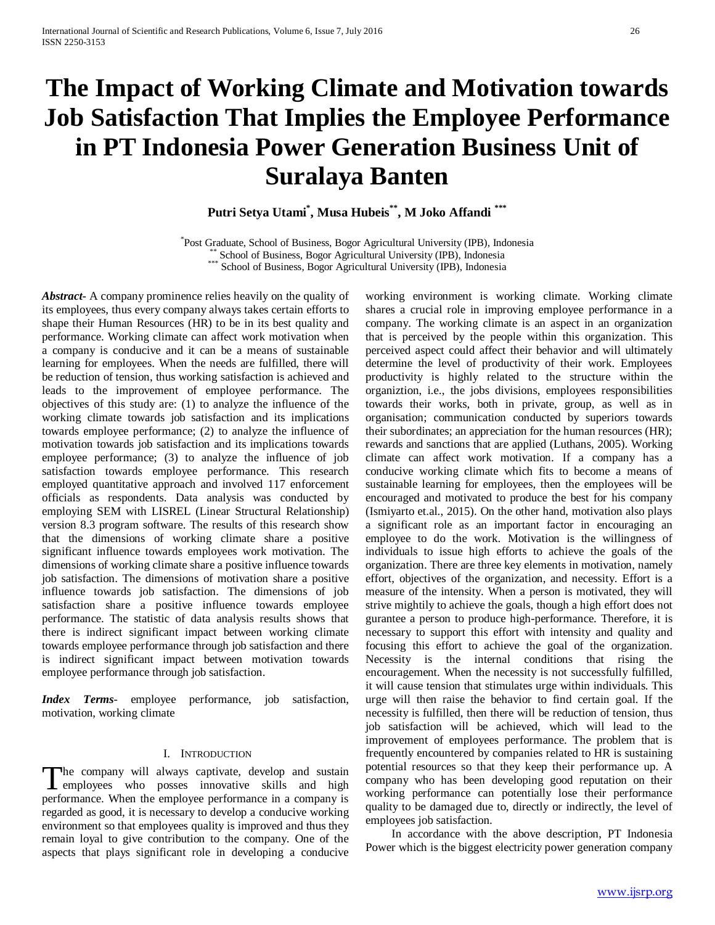# **The Impact of Working Climate and Motivation towards Job Satisfaction That Implies the Employee Performance in PT Indonesia Power Generation Business Unit of Suralaya Banten**

**Putri Setya Utami\* , Musa Hubeis\*\*, M Joko Affandi \*\*\***

\*Post Graduate, School of Business, Bogor Agricultural University (IPB), Indonesia <sup>\*\*</sup> School of Business, Bogor Agricultural University (IPB), Indonesia \*\*\* School of Business, Bogor Agricultural University (IPB), Indonesia

*Abstract***-** A company prominence relies heavily on the quality of its employees, thus every company always takes certain efforts to shape their Human Resources (HR) to be in its best quality and performance. Working climate can affect work motivation when a company is conducive and it can be a means of sustainable learning for employees. When the needs are fulfilled, there will be reduction of tension, thus working satisfaction is achieved and leads to the improvement of employee performance. The objectives of this study are: (1) to analyze the influence of the working climate towards job satisfaction and its implications towards employee performance; (2) to analyze the influence of motivation towards job satisfaction and its implications towards employee performance; (3) to analyze the influence of job satisfaction towards employee performance. This research employed quantitative approach and involved 117 enforcement officials as respondents. Data analysis was conducted by employing SEM with LISREL (Linear Structural Relationship) version 8.3 program software. The results of this research show that the dimensions of working climate share a positive significant influence towards employees work motivation. The dimensions of working climate share a positive influence towards job satisfaction. The dimensions of motivation share a positive influence towards job satisfaction. The dimensions of job satisfaction share a positive influence towards employee performance. The statistic of data analysis results shows that there is indirect significant impact between working climate towards employee performance through job satisfaction and there is indirect significant impact between motivation towards employee performance through job satisfaction.

*Index Terms*- employee performance, job satisfaction, motivation, working climate

#### I. INTRODUCTION

The company will always captivate, develop and sustain The company will always captivate, develop and sustain employees who posses innovative skills and high performance. When the employee performance in a company is regarded as good, it is necessary to develop a conducive working environment so that employees quality is improved and thus they remain loyal to give contribution to the company. One of the aspects that plays significant role in developing a conducive

working environment is working climate. Working climate shares a crucial role in improving employee performance in a company. The working climate is an aspect in an organization that is perceived by the people within this organization. This perceived aspect could affect their behavior and will ultimately determine the level of productivity of their work. Employees productivity is highly related to the structure within the organiztion, i.e., the jobs divisions, employees responsibilities towards their works, both in private, group, as well as in organisation; communication conducted by superiors towards their subordinates; an appreciation for the human resources (HR); rewards and sanctions that are applied (Luthans, 2005). Working climate can affect work motivation. If a company has a conducive working climate which fits to become a means of sustainable learning for employees, then the employees will be encouraged and motivated to produce the best for his company (Ismiyarto et.al., 2015). On the other hand, motivation also plays a significant role as an important factor in encouraging an employee to do the work. Motivation is the willingness of individuals to issue high efforts to achieve the goals of the organization. There are three key elements in motivation, namely effort, objectives of the organization, and necessity. Effort is a measure of the intensity. When a person is motivated, they will strive mightily to achieve the goals, though a high effort does not gurantee a person to produce high-performance. Therefore, it is necessary to support this effort with intensity and quality and focusing this effort to achieve the goal of the organization. Necessity is the internal conditions that rising the encouragement. When the necessity is not successfully fulfilled, it will cause tension that stimulates urge within individuals. This urge will then raise the behavior to find certain goal. If the necessity is fulfilled, then there will be reduction of tension, thus job satisfaction will be achieved, which will lead to the improvement of employees performance. The problem that is frequently encountered by companies related to HR is sustaining potential resources so that they keep their performance up. A company who has been developing good reputation on their working performance can potentially lose their performance quality to be damaged due to, directly or indirectly, the level of employees job satisfaction.

 In accordance with the above description, PT Indonesia Power which is the biggest electricity power generation company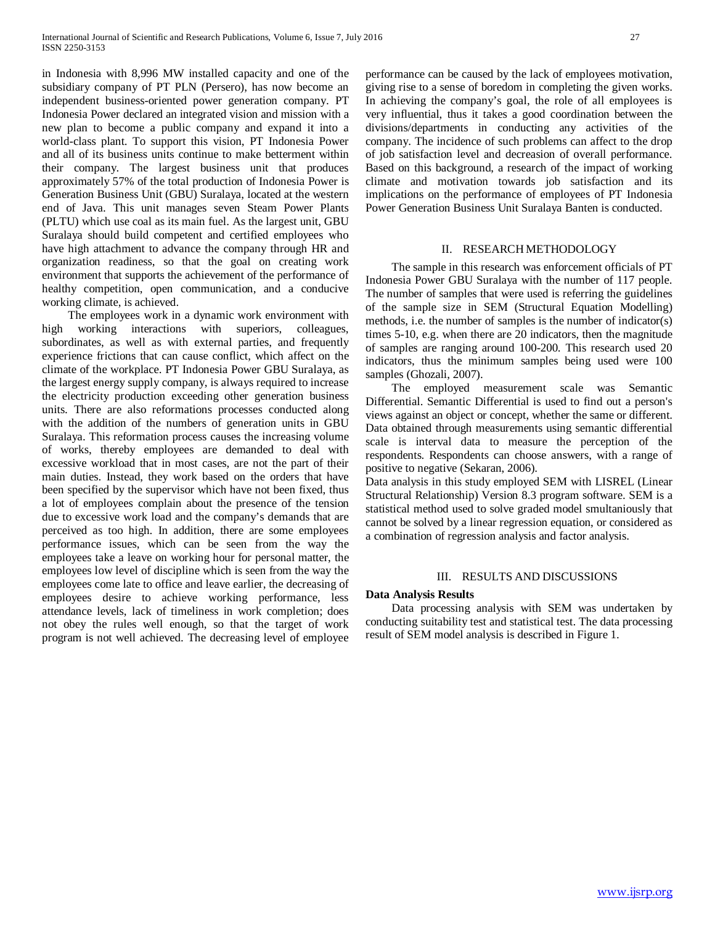in Indonesia with 8,996 MW installed capacity and one of the subsidiary company of PT PLN (Persero), has now become an independent business-oriented power generation company. PT Indonesia Power declared an integrated vision and mission with a new plan to become a public company and expand it into a world-class plant. To support this vision, PT Indonesia Power and all of its business units continue to make betterment within their company. The largest business unit that produces approximately 57% of the total production of Indonesia Power is Generation Business Unit (GBU) Suralaya, located at the western end of Java. This unit manages seven Steam Power Plants (PLTU) which use coal as its main fuel. As the largest unit, GBU Suralaya should build competent and certified employees who have high attachment to advance the company through HR and organization readiness, so that the goal on creating work environment that supports the achievement of the performance of healthy competition, open communication, and a conducive working climate, is achieved.

 The employees work in a dynamic work environment with high working interactions with superiors, colleagues, subordinates, as well as with external parties, and frequently experience frictions that can cause conflict, which affect on the climate of the workplace. PT Indonesia Power GBU Suralaya, as the largest energy supply company, is always required to increase the electricity production exceeding other generation business units. There are also reformations processes conducted along with the addition of the numbers of generation units in GBU Suralaya. This reformation process causes the increasing volume of works, thereby employees are demanded to deal with excessive workload that in most cases, are not the part of their main duties. Instead, they work based on the orders that have been specified by the supervisor which have not been fixed, thus a lot of employees complain about the presence of the tension due to excessive work load and the company's demands that are perceived as too high. In addition, there are some employees performance issues, which can be seen from the way the employees take a leave on working hour for personal matter, the employees low level of discipline which is seen from the way the employees come late to office and leave earlier, the decreasing of employees desire to achieve working performance, less attendance levels, lack of timeliness in work completion; does not obey the rules well enough, so that the target of work program is not well achieved. The decreasing level of employee

performance can be caused by the lack of employees motivation, giving rise to a sense of boredom in completing the given works. In achieving the company's goal, the role of all employees is very influential, thus it takes a good coordination between the divisions/departments in conducting any activities of the company. The incidence of such problems can affect to the drop of job satisfaction level and decreasion of overall performance. Based on this background, a research of the impact of working climate and motivation towards job satisfaction and its implications on the performance of employees of PT Indonesia Power Generation Business Unit Suralaya Banten is conducted.

#### II. RESEARCH METHODOLOGY

 The sample in this research was enforcement officials of PT Indonesia Power GBU Suralaya with the number of 117 people. The number of samples that were used is referring the guidelines of the sample size in SEM (Structural Equation Modelling) methods, i.e. the number of samples is the number of indicator(s) times 5-10, e.g. when there are 20 indicators, then the magnitude of samples are ranging around 100-200. This research used 20 indicators, thus the minimum samples being used were 100 samples (Ghozali, 2007).

 The employed measurement scale was Semantic Differential. Semantic Differential is used to find out a person's views against an object or concept, whether the same or different. Data obtained through measurements using semantic differential scale is interval data to measure the perception of the respondents. Respondents can choose answers, with a range of positive to negative (Sekaran, 2006).

Data analysis in this study employed SEM with LISREL (Linear Structural Relationship) Version 8.3 program software. SEM is a statistical method used to solve graded model smultaniously that cannot be solved by a linear regression equation, or considered as a combination of regression analysis and factor analysis.

#### III. RESULTS AND DISCUSSIONS

#### **Data Analysis Results**

 Data processing analysis with SEM was undertaken by conducting suitability test and statistical test. The data processing result of SEM model analysis is described in Figure 1.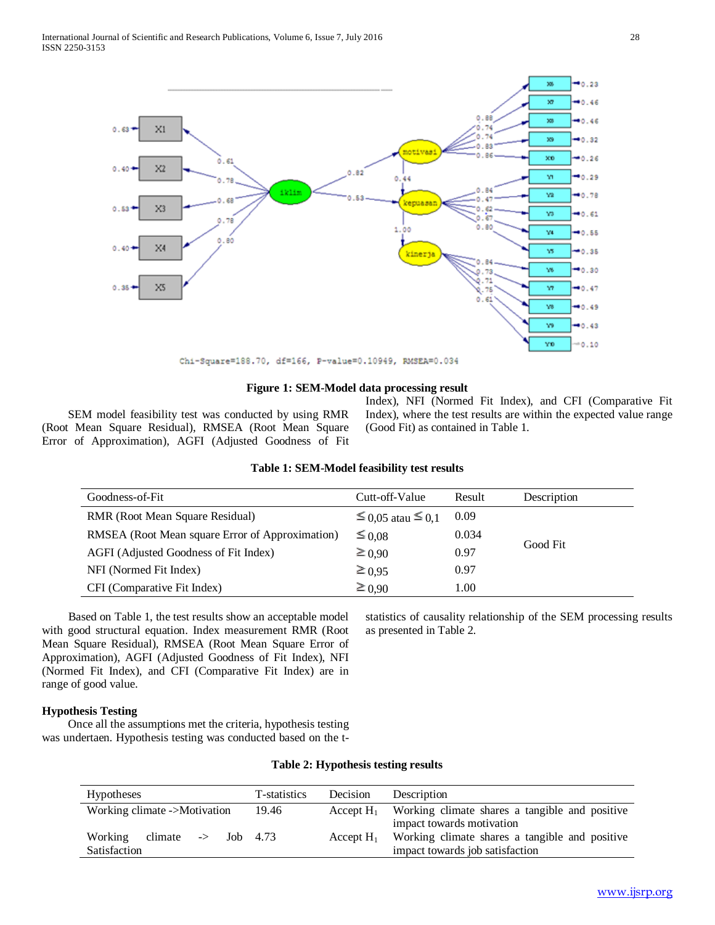

#### **Figure 1: SEM-Model data processing result**

 SEM model feasibility test was conducted by using RMR (Root Mean Square Residual), RMSEA (Root Mean Square Error of Approximation), AGFI (Adjusted Goodness of Fit Index), NFI (Normed Fit Index), and CFI (Comparative Fit Index), where the test results are within the expected value range (Good Fit) as contained in Table 1.

| Goodness-of-Fit                                 | Cutt-off-Value      | Result | Description |
|-------------------------------------------------|---------------------|--------|-------------|
| RMR (Root Mean Square Residual)                 | $≤$ 0,05 atau ≤ 0,1 | 0.09   |             |
| RMSEA (Root Mean square Error of Approximation) | $\leq 0.08$         | 0.034  |             |
| AGFI (Adjusted Goodness of Fit Index)           | $\geq 0.90$         | 0.97   | Good Fit    |
| NFI (Normed Fit Index)                          | $\geq 0.95$         | 0.97   |             |
| CFI (Comparative Fit Index)                     | $\geq 0.90$         | 1.00   |             |

# **Table 1: SEM-Model feasibility test results**

 Based on Table 1, the test results show an acceptable model with good structural equation. Index measurement RMR (Root Mean Square Residual), RMSEA (Root Mean Square Error of Approximation), AGFI (Adjusted Goodness of Fit Index), NFI (Normed Fit Index), and CFI (Comparative Fit Index) are in range of good value.

## **Hypothesis Testing**

 Once all the assumptions met the criteria, hypothesis testing was undertaen. Hypothesis testing was conducted based on the tstatistics of causality relationship of the SEM processing results as presented in Table 2.

#### **Table 2: Hypothesis testing results**

| <b>Hypotheses</b>                         | T-statistics | Decision     | Description                                    |
|-------------------------------------------|--------------|--------------|------------------------------------------------|
| Working climate ->Motivation              | 19.46        | Accept $H_1$ | Working climate shares a tangible and positive |
|                                           |              |              | impact towards motivation                      |
| climate $\rightarrow$ Job 4.73<br>Working |              | Accept $H_1$ | Working climate shares a tangible and positive |
| Satisfaction                              |              |              | impact towards job satisfaction                |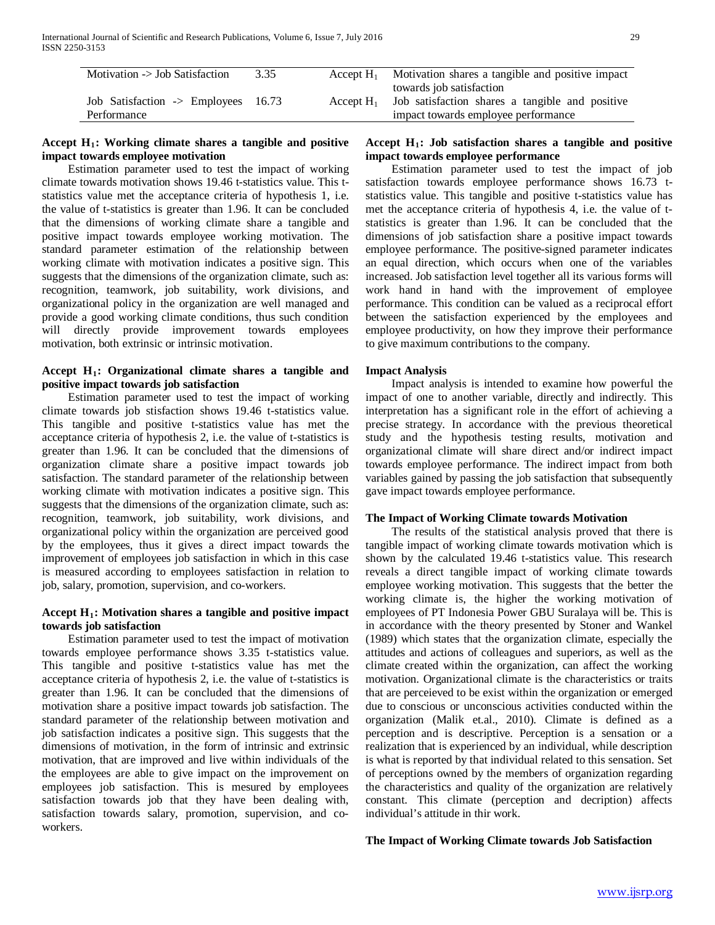| Motivation -> Job Satisfaction                 | 3.35 | Accept $H_1$ | Motivation shares a tangible and positive impact<br>towards job satisfaction |
|------------------------------------------------|------|--------------|------------------------------------------------------------------------------|
| Job Satisfaction $\rightarrow$ Employees 16.73 |      | Accept $H_1$ | Job satisfaction shares a tangible and positive                              |
| Performance                                    |      |              | impact towards employee performance                                          |

# Accept H<sub>1</sub>: Working climate shares a tangible and positive **impact towards employee motivation**

 Estimation parameter used to test the impact of working climate towards motivation shows 19.46 t-statistics value. This tstatistics value met the acceptance criteria of hypothesis 1, i.e. the value of t-statistics is greater than 1.96. It can be concluded that the dimensions of working climate share a tangible and positive impact towards employee working motivation. The standard parameter estimation of the relationship between working climate with motivation indicates a positive sign. This suggests that the dimensions of the organization climate, such as: recognition, teamwork, job suitability, work divisions, and organizational policy in the organization are well managed and provide a good working climate conditions, thus such condition will directly provide improvement towards employees motivation, both extrinsic or intrinsic motivation.

### **Accept H1: Organizational climate shares a tangible and positive impact towards job satisfaction**

 Estimation parameter used to test the impact of working climate towards job stisfaction shows 19.46 t-statistics value. This tangible and positive t-statistics value has met the acceptance criteria of hypothesis 2, i.e. the value of t-statistics is greater than 1.96. It can be concluded that the dimensions of organization climate share a positive impact towards job satisfaction. The standard parameter of the relationship between working climate with motivation indicates a positive sign. This suggests that the dimensions of the organization climate, such as: recognition, teamwork, job suitability, work divisions, and organizational policy within the organization are perceived good by the employees, thus it gives a direct impact towards the improvement of employees job satisfaction in which in this case is measured according to employees satisfaction in relation to job, salary, promotion, supervision, and co-workers.

# **Accept H1: Motivation shares a tangible and positive impact towards job satisfaction**

 Estimation parameter used to test the impact of motivation towards employee performance shows 3.35 t-statistics value. This tangible and positive t-statistics value has met the acceptance criteria of hypothesis 2, i.e. the value of t-statistics is greater than 1.96. It can be concluded that the dimensions of motivation share a positive impact towards job satisfaction. The standard parameter of the relationship between motivation and job satisfaction indicates a positive sign. This suggests that the dimensions of motivation, in the form of intrinsic and extrinsic motivation, that are improved and live within individuals of the the employees are able to give impact on the improvement on employees job satisfaction. This is mesured by employees satisfaction towards job that they have been dealing with, satisfaction towards salary, promotion, supervision, and coworkers.

### **Accept H1: Job satisfaction shares a tangible and positive impact towards employee performance**

 Estimation parameter used to test the impact of job satisfaction towards employee performance shows 16.73 tstatistics value. This tangible and positive t-statistics value has met the acceptance criteria of hypothesis 4, i.e. the value of tstatistics is greater than 1.96. It can be concluded that the dimensions of job satisfaction share a positive impact towards employee performance. The positive-signed parameter indicates an equal direction, which occurs when one of the variables increased. Job satisfaction level together all its various forms will work hand in hand with the improvement of employee performance. This condition can be valued as a reciprocal effort between the satisfaction experienced by the employees and employee productivity, on how they improve their performance to give maximum contributions to the company.

### **Impact Analysis**

 Impact analysis is intended to examine how powerful the impact of one to another variable, directly and indirectly. This interpretation has a significant role in the effort of achieving a precise strategy. In accordance with the previous theoretical study and the hypothesis testing results, motivation and organizational climate will share direct and/or indirect impact towards employee performance. The indirect impact from both variables gained by passing the job satisfaction that subsequently gave impact towards employee performance.

### **The Impact of Working Climate towards Motivation**

 The results of the statistical analysis proved that there is tangible impact of working climate towards motivation which is shown by the calculated 19.46 t-statistics value. This research reveals a direct tangible impact of working climate towards employee working motivation. This suggests that the better the working climate is, the higher the working motivation of employees of PT Indonesia Power GBU Suralaya will be. This is in accordance with the theory presented by Stoner and Wankel (1989) which states that the organization climate, especially the attitudes and actions of colleagues and superiors, as well as the climate created within the organization, can affect the working motivation. Organizational climate is the characteristics or traits that are perceieved to be exist within the organization or emerged due to conscious or unconscious activities conducted within the organization (Malik et.al., 2010). Climate is defined as a perception and is descriptive. Perception is a sensation or a realization that is experienced by an individual, while description is what is reported by that individual related to this sensation. Set of perceptions owned by the members of organization regarding the characteristics and quality of the organization are relatively constant. This climate (perception and decription) affects individual's attitude in thir work.

### **The Impact of Working Climate towards Job Satisfaction**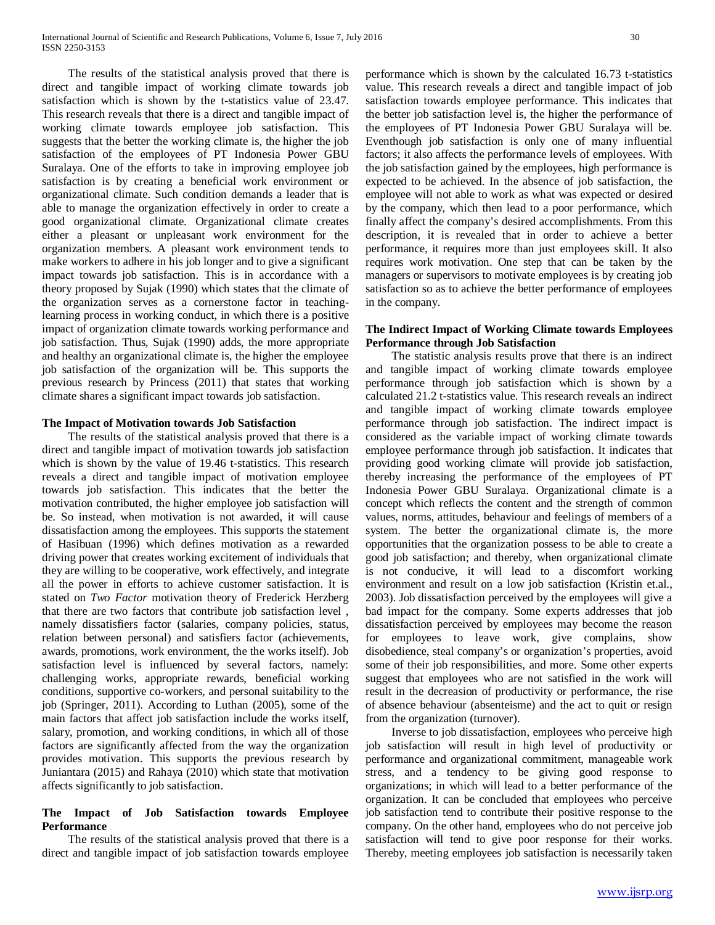The results of the statistical analysis proved that there is direct and tangible impact of working climate towards job satisfaction which is shown by the t-statistics value of 23.47. This research reveals that there is a direct and tangible impact of working climate towards employee job satisfaction. This suggests that the better the working climate is, the higher the job satisfaction of the employees of PT Indonesia Power GBU Suralaya. One of the efforts to take in improving employee job satisfaction is by creating a beneficial work environment or organizational climate. Such condition demands a leader that is able to manage the organization effectively in order to create a good organizational climate. Organizational climate creates either a pleasant or unpleasant work environment for the organization members. A pleasant work environment tends to make workers to adhere in his job longer and to give a significant impact towards job satisfaction. This is in accordance with a theory proposed by Sujak (1990) which states that the climate of the organization serves as a cornerstone factor in teachinglearning process in working conduct, in which there is a positive impact of organization climate towards working performance and job satisfaction. Thus, Sujak (1990) adds, the more appropriate and healthy an organizational climate is, the higher the employee job satisfaction of the organization will be. This supports the previous research by Princess (2011) that states that working climate shares a significant impact towards job satisfaction.

#### **The Impact of Motivation towards Job Satisfaction**

 The results of the statistical analysis proved that there is a direct and tangible impact of motivation towards job satisfaction which is shown by the value of 19.46 t-statistics. This research reveals a direct and tangible impact of motivation employee towards job satisfaction. This indicates that the better the motivation contributed, the higher employee job satisfaction will be. So instead, when motivation is not awarded, it will cause dissatisfaction among the employees. This supports the statement of Hasibuan (1996) which defines motivation as a rewarded driving power that creates working excitement of individuals that they are willing to be cooperative, work effectively, and integrate all the power in efforts to achieve customer satisfaction. It is stated on *Two Factor* motivation theory of Frederick Herzberg that there are two factors that contribute job satisfaction level , namely dissatisfiers factor (salaries, company policies, status, relation between personal) and satisfiers factor (achievements, awards, promotions, work environment, the the works itself). Job satisfaction level is influenced by several factors, namely: challenging works, appropriate rewards, beneficial working conditions, supportive co-workers, and personal suitability to the job (Springer, 2011). According to Luthan (2005), some of the main factors that affect job satisfaction include the works itself, salary, promotion, and working conditions, in which all of those factors are significantly affected from the way the organization provides motivation. This supports the previous research by Juniantara (2015) and Rahaya (2010) which state that motivation affects significantly to job satisfaction.

# **The Impact of Job Satisfaction towards Employee Performance**

 The results of the statistical analysis proved that there is a direct and tangible impact of job satisfaction towards employee

performance which is shown by the calculated 16.73 t-statistics value. This research reveals a direct and tangible impact of job satisfaction towards employee performance. This indicates that the better job satisfaction level is, the higher the performance of the employees of PT Indonesia Power GBU Suralaya will be. Eventhough job satisfaction is only one of many influential factors; it also affects the performance levels of employees. With the job satisfaction gained by the employees, high performance is expected to be achieved. In the absence of job satisfaction, the employee will not able to work as what was expected or desired by the company, which then lead to a poor performance, which finally affect the company's desired accomplishments. From this description, it is revealed that in order to achieve a better performance, it requires more than just employees skill. It also requires work motivation. One step that can be taken by the managers or supervisors to motivate employees is by creating job satisfaction so as to achieve the better performance of employees in the company.

## **The Indirect Impact of Working Climate towards Employees Performance through Job Satisfaction**

 The statistic analysis results prove that there is an indirect and tangible impact of working climate towards employee performance through job satisfaction which is shown by a calculated 21.2 t-statistics value. This research reveals an indirect and tangible impact of working climate towards employee performance through job satisfaction. The indirect impact is considered as the variable impact of working climate towards employee performance through job satisfaction. It indicates that providing good working climate will provide job satisfaction, thereby increasing the performance of the employees of PT Indonesia Power GBU Suralaya. Organizational climate is a concept which reflects the content and the strength of common values, norms, attitudes, behaviour and feelings of members of a system. The better the organizational climate is, the more opportunities that the organization possess to be able to create a good job satisfaction; and thereby, when organizational climate is not conducive, it will lead to a discomfort working environment and result on a low job satisfaction (Kristin et.al., 2003). Job dissatisfaction perceived by the employees will give a bad impact for the company. Some experts addresses that job dissatisfaction perceived by employees may become the reason for employees to leave work, give complains, show disobedience, steal company's or organization's properties, avoid some of their job responsibilities, and more. Some other experts suggest that employees who are not satisfied in the work will result in the decreasion of productivity or performance, the rise of absence behaviour (absenteisme) and the act to quit or resign from the organization (turnover).

 Inverse to job dissatisfaction, employees who perceive high job satisfaction will result in high level of productivity or performance and organizational commitment, manageable work stress, and a tendency to be giving good response to organizations; in which will lead to a better performance of the organization. It can be concluded that employees who perceive job satisfaction tend to contribute their positive response to the company. On the other hand, employees who do not perceive job satisfaction will tend to give poor response for their works. Thereby, meeting employees job satisfaction is necessarily taken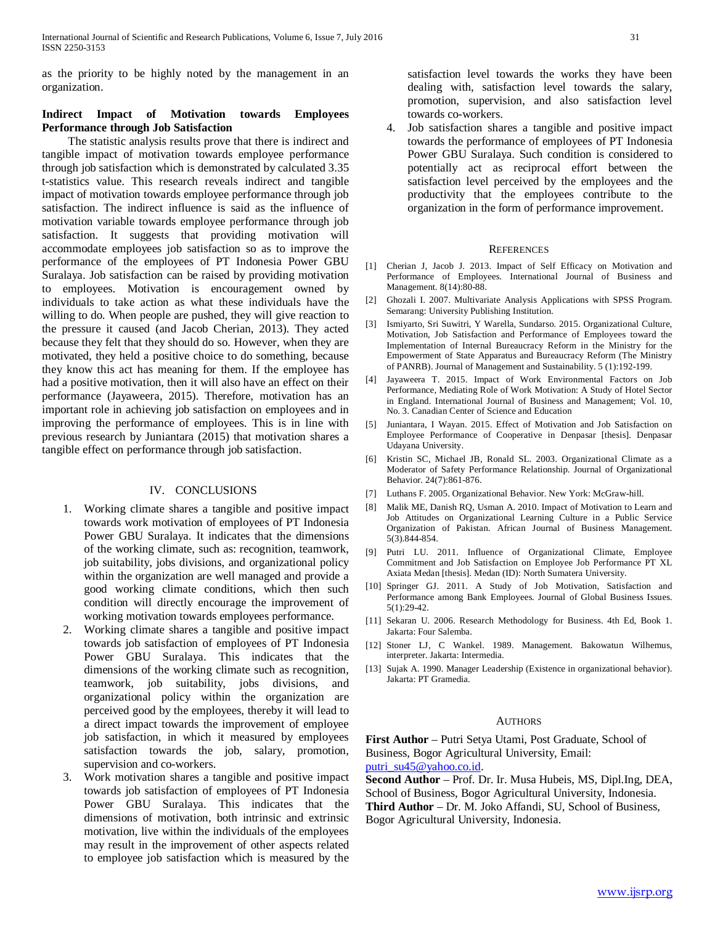as the priority to be highly noted by the management in an organization.

## **Indirect Impact of Motivation towards Employees Performance through Job Satisfaction**

 The statistic analysis results prove that there is indirect and tangible impact of motivation towards employee performance through job satisfaction which is demonstrated by calculated 3.35 t-statistics value. This research reveals indirect and tangible impact of motivation towards employee performance through job satisfaction. The indirect influence is said as the influence of motivation variable towards employee performance through job satisfaction. It suggests that providing motivation will accommodate employees job satisfaction so as to improve the performance of the employees of PT Indonesia Power GBU Suralaya. Job satisfaction can be raised by providing motivation to employees. Motivation is encouragement owned by individuals to take action as what these individuals have the willing to do. When people are pushed, they will give reaction to the pressure it caused (and Jacob Cherian, 2013). They acted because they felt that they should do so. However, when they are motivated, they held a positive choice to do something, because they know this act has meaning for them. If the employee has had a positive motivation, then it will also have an effect on their performance (Jayaweera, 2015). Therefore, motivation has an important role in achieving job satisfaction on employees and in improving the performance of employees. This is in line with previous research by Juniantara (2015) that motivation shares a tangible effect on performance through job satisfaction.

### IV. CONCLUSIONS

- 1. Working climate shares a tangible and positive impact towards work motivation of employees of PT Indonesia Power GBU Suralaya. It indicates that the dimensions of the working climate, such as: recognition, teamwork, job suitability, jobs divisions, and organizational policy within the organization are well managed and provide a good working climate conditions, which then such condition will directly encourage the improvement of working motivation towards employees performance.
- 2. Working climate shares a tangible and positive impact towards job satisfaction of employees of PT Indonesia Power GBU Suralaya. This indicates that the dimensions of the working climate such as recognition, teamwork, job suitability, jobs divisions, and organizational policy within the organization are perceived good by the employees, thereby it will lead to a direct impact towards the improvement of employee job satisfaction, in which it measured by employees satisfaction towards the job, salary, promotion, supervision and co-workers.
- 3. Work motivation shares a tangible and positive impact towards job satisfaction of employees of PT Indonesia Power GBU Suralaya. This indicates that the dimensions of motivation, both intrinsic and extrinsic motivation, live within the individuals of the employees may result in the improvement of other aspects related to employee job satisfaction which is measured by the

satisfaction level towards the works they have been dealing with, satisfaction level towards the salary, promotion, supervision, and also satisfaction level towards co-workers.

4. Job satisfaction shares a tangible and positive impact towards the performance of employees of PT Indonesia Power GBU Suralaya. Such condition is considered to potentially act as reciprocal effort between the satisfaction level perceived by the employees and the productivity that the employees contribute to the organization in the form of performance improvement.

#### **REFERENCES**

- [1] Cherian J, Jacob J. 2013. Impact of Self Efficacy on Motivation and Performance of Employees. International Journal of Business and Management. 8(14):80-88.
- [2] Ghozali I. 2007. Multivariate Analysis Applications with SPSS Program. Semarang: University Publishing Institution.
- [3] Ismiyarto, Sri Suwitri, Y Warella, Sundarso. 2015. Organizational Culture, Motivation, Job Satisfaction and Performance of Employees toward the Implementation of Internal Bureaucracy Reform in the Ministry for the Empowerment of State Apparatus and Bureaucracy Reform (The Ministry of PANRB). Journal of Management and Sustainability. 5 (1):192-199.
- [4] Jayaweera T. 2015. Impact of Work Environmental Factors on Job Performance, Mediating Role of Work Motivation: A Study of Hotel Sector in England. International Journal of Business and Management; Vol. 10, No. 3. Canadian Center of Science and Education
- [5] Juniantara, I Wayan. 2015. Effect of Motivation and Job Satisfaction on Employee Performance of Cooperative in Denpasar [thesis]. Denpasar Udayana University.
- [6] Kristin SC, Michael JB, Ronald SL. 2003. Organizational Climate as a Moderator of Safety Performance Relationship. Journal of Organizational Behavior. 24(7):861-876.
- [7] Luthans F. 2005. Organizational Behavior. New York: McGraw-hill.
- [8] Malik ME, Danish RQ, Usman A. 2010. Impact of Motivation to Learn and Job Attitudes on Organizational Learning Culture in a Public Service Organization of Pakistan. African Journal of Business Management. 5(3).844-854.
- [9] Putri LU. 2011. Influence of Organizational Climate, Employee Commitment and Job Satisfaction on Employee Job Performance PT XL Axiata Medan [thesis]. Medan (ID): North Sumatera University.
- [10] Springer GJ. 2011. A Study of Job Motivation, Satisfaction and Performance among Bank Employees. Journal of Global Business Issues. 5(1):29-42.
- [11] Sekaran U. 2006. Research Methodology for Business. 4th Ed, Book 1. Jakarta: Four Salemba.
- [12] Stoner LJ, C Wankel. 1989. Management. Bakowatun Wilhemus, interpreter. Jakarta: Intermedia.
- [13] Sujak A. 1990. Manager Leadership (Existence in organizational behavior). Jakarta: PT Gramedia.

#### **AUTHORS**

**First Author** – Putri Setya Utami, Post Graduate, School of Business, Bogor Agricultural University, Email: [putri\\_su45@yahoo.co.id.](mailto:putri_su45@yahoo.co.id)

**Second Author** – Prof. Dr. Ir. Musa Hubeis, MS, Dipl.Ing, DEA, School of Business, Bogor Agricultural University, Indonesia. **Third Author** – Dr. M. Joko Affandi, SU, School of Business, Bogor Agricultural University, Indonesia.